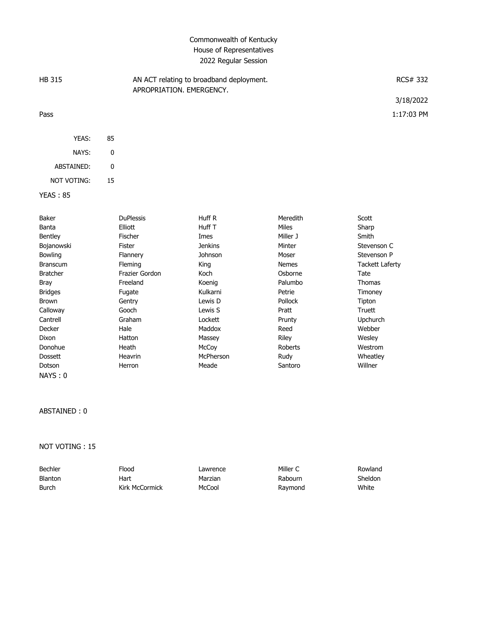# Commonwealth of Kentucky House of Representatives 2022 Regular Session

| <b>HB 315</b> |       |    | AN ACT relating to broadband deployment.<br>APROPRIATION, EMERGENCY, | RCS# 332     |
|---------------|-------|----|----------------------------------------------------------------------|--------------|
|               |       |    |                                                                      | 3/18/2022    |
| Pass          |       |    |                                                                      | $1:17:03$ PM |
|               | YEAS: | 85 |                                                                      |              |

| NAYS:       | O  |
|-------------|----|
| ARSTAINED:  | U  |
| NOT VOTING: | 15 |

#### YEAS : 85

| Baker           | <b>DuPlessis</b> | Huff R           | Meredith       | Scott           |
|-----------------|------------------|------------------|----------------|-----------------|
| Banta           | Elliott          | Huff T           | Miles          | Sharp           |
| Bentley         | <b>Fischer</b>   | Imes             | Miller J       | Smith           |
| Bojanowski      | Fister           | <b>Jenkins</b>   | Minter         | Stevenson C     |
| <b>Bowling</b>  | <b>Flannery</b>  | Johnson          | Moser          | Stevenson P     |
| <b>Branscum</b> | Fleming          | King             | <b>Nemes</b>   | Tackett Laferty |
| <b>Bratcher</b> | Frazier Gordon   | Koch             | Osborne        | Tate            |
| Bray            | Freeland         | Koenig           | Palumbo        | Thomas          |
| <b>Bridges</b>  | Fugate           | Kulkarni         | Petrie         | Timoney         |
| Brown           | Gentry           | Lewis D          | <b>Pollock</b> | Tipton          |
| Calloway        | Gooch            | Lewis S          | Pratt          | Truett          |
| Cantrell        | Graham           | Lockett          | Prunty         | <b>Upchurch</b> |
| Decker          | Hale             | Maddox           | Reed           | Webber          |
| Dixon           | Hatton           | Massey           | Riley          | Wesley          |
| Donohue         | Heath            | McCoy            | Roberts        | Westrom         |
| <b>Dossett</b>  | Heavrin          | <b>McPherson</b> | Rudy           | Wheatley        |
| Dotson          | Herron           | Meade            | Santoro        | Willner         |
| NAYS:0          |                  |                  |                |                 |

#### ABSTAINED : 0

NOT VOTING : 15

| Bechler        | Flood          | Lawrence | Miller C | Rowland |
|----------------|----------------|----------|----------|---------|
| <b>Blanton</b> | Hart           | Marzian  | Rabourn  | Sheldon |
| Burch          | Kirk McCormick | McCool   | Raymond  | White   |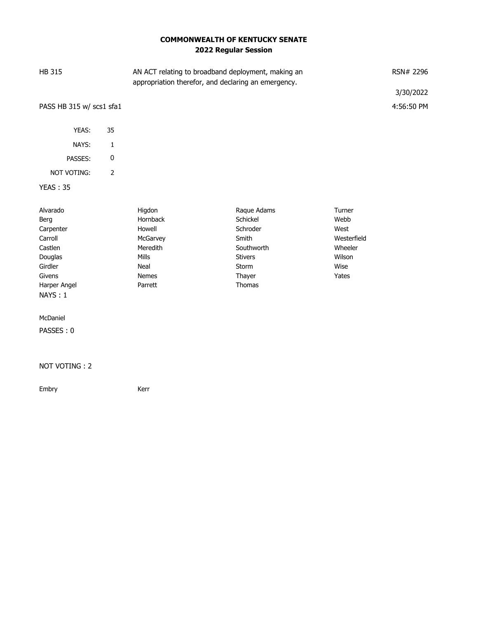# **COMMONWEALTH OF KENTUCKY SENATE 2022 Regular Session**

| <b>HB 315</b>                                                                                                  |                | AN ACT relating to broadband deployment, making an<br>appropriation therefor, and declaring an emergency. |                                                                                                           |                                                                             | RSN# 2296<br>3/30/2022 |
|----------------------------------------------------------------------------------------------------------------|----------------|-----------------------------------------------------------------------------------------------------------|-----------------------------------------------------------------------------------------------------------|-----------------------------------------------------------------------------|------------------------|
| PASS HB 315 w/ scs1 sfa1                                                                                       |                |                                                                                                           |                                                                                                           |                                                                             | 4:56:50 PM             |
| YEAS:                                                                                                          | 35             |                                                                                                           |                                                                                                           |                                                                             |                        |
| NAYS:                                                                                                          | 1              |                                                                                                           |                                                                                                           |                                                                             |                        |
| PASSES:                                                                                                        | $\pmb{0}$      |                                                                                                           |                                                                                                           |                                                                             |                        |
| NOT VOTING:                                                                                                    | $\overline{2}$ |                                                                                                           |                                                                                                           |                                                                             |                        |
| <b>YEAS: 35</b>                                                                                                |                |                                                                                                           |                                                                                                           |                                                                             |                        |
| Alvarado<br>Berg<br>Carpenter<br>Carroll<br>Castlen<br>Douglas<br>Girdler<br>Givens<br>Harper Angel<br>NAYS: 1 |                | Higdon<br>Hornback<br>Howell<br>McGarvey<br>Meredith<br>Mills<br>Neal<br><b>Nemes</b><br>Parrett          | Raque Adams<br>Schickel<br>Schroder<br>Smith<br>Southworth<br><b>Stivers</b><br>Storm<br>Thayer<br>Thomas | Turner<br>Webb<br>West<br>Westerfield<br>Wheeler<br>Wilson<br>Wise<br>Yates |                        |
| McDaniel<br>PASSES: 0                                                                                          |                |                                                                                                           |                                                                                                           |                                                                             |                        |
| NOT VOTING: 2                                                                                                  |                |                                                                                                           |                                                                                                           |                                                                             |                        |

Embry Kerr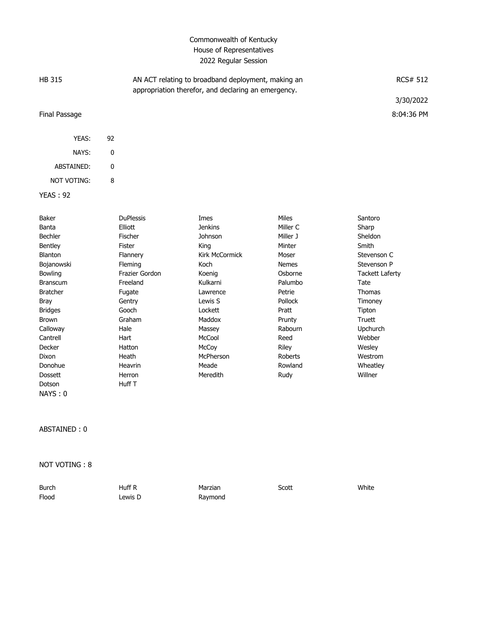# Commonwealth of Kentucky House of Representatives 2022 Regular Session

| HB 315          |                  | AN ACT relating to broadband deployment, making an<br>appropriation therefor, and declaring an emergency. |              |         | <b>RCS# 512</b> |
|-----------------|------------------|-----------------------------------------------------------------------------------------------------------|--------------|---------|-----------------|
|                 |                  |                                                                                                           |              |         | 3/30/2022       |
| Final Passage   |                  |                                                                                                           |              |         | 8:04:36 PM      |
|                 |                  |                                                                                                           |              |         |                 |
| YEAS:           | 92               |                                                                                                           |              |         |                 |
| NAYS:           | 0                |                                                                                                           |              |         |                 |
| ABSTAINED:      | 0                |                                                                                                           |              |         |                 |
| NOT VOTING:     | 8                |                                                                                                           |              |         |                 |
| <b>YEAS: 92</b> |                  |                                                                                                           |              |         |                 |
|                 |                  |                                                                                                           |              |         |                 |
| Baker           | <b>DuPlessis</b> | Imes                                                                                                      | <b>Miles</b> | Santoro |                 |
| Banta           | Elliott          | <b>Jenkins</b>                                                                                            | Miller C     | Sharp   |                 |
| Bechler         | Fischer          | Johnson                                                                                                   | Miller J     | Sheldon |                 |
| Bentley         | Fister           | King                                                                                                      | Minter       | Smith   |                 |
|                 |                  | .                                                                                                         |              |         |                 |

| Bentley         | Fister         | King           | Minter         | Smith                  |
|-----------------|----------------|----------------|----------------|------------------------|
| <b>Blanton</b>  | Flannery       | Kirk McCormick | Moser          | Stevenson C            |
| Bojanowski      | <b>Fleming</b> | Koch           | <b>Nemes</b>   | Stevenson P            |
| Bowling         | Frazier Gordon | Koenig         | Osborne        | <b>Tackett Laferty</b> |
| <b>Branscum</b> | Freeland       | Kulkarni       | Palumbo        | Tate                   |
| <b>Bratcher</b> | Fugate         | Lawrence       | Petrie         | Thomas                 |
| Bray            | Gentry         | Lewis S        | <b>Pollock</b> | Timoney                |
| <b>Bridges</b>  | Gooch          | Lockett        | Pratt          | Tipton                 |
| Brown           | Graham         | Maddox         | Prunty         | Truett                 |
| Calloway        | Hale           | Massey         | Rabourn        | Upchurch               |
| Cantrell        | Hart           | McCool         | Reed           | Webber                 |
| Decker          | Hatton         | McCoy          | Riley          | Wesley                 |
| Dixon           | Heath          | McPherson      | Roberts        | Westrom                |
| Donohue         | Heavrin        | Meade          | Rowland        | Wheatley               |
| <b>Dossett</b>  | Herron         | Meredith       | Rudy           | Willner                |
| Dotson          | Huff T         |                |                |                        |
| NAYS:0          |                |                |                |                        |

ABSTAINED : 0

NOT VOTING : 8

| <b>Burch</b> | Huff R     | Marzian | Scott | White |
|--------------|------------|---------|-------|-------|
| Flood        | $L$ ewis D | Raymond |       |       |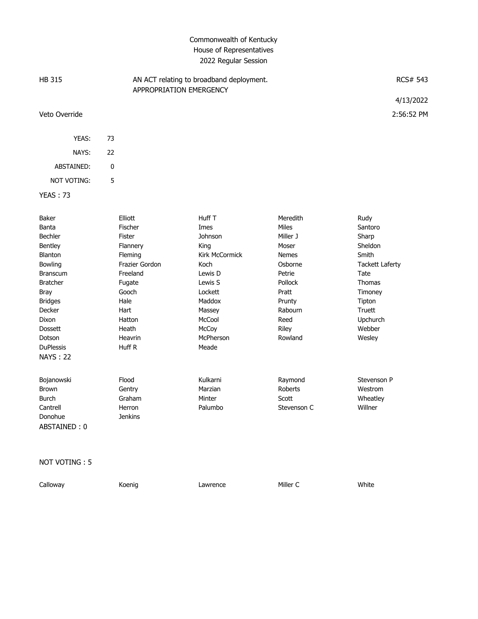# Commonwealth of Kentucky House of Representatives 2022 Regular Session

| HB 315             |         | AN ACT relating to broadband deployment.<br>APPROPRIATION EMERGENCY |          |      | <b>RCS# 543</b> |
|--------------------|---------|---------------------------------------------------------------------|----------|------|-----------------|
|                    |         |                                                                     |          |      | 4/13/2022       |
| Veto Override      |         |                                                                     |          |      | 2:56:52 PM      |
| YEAS:              | 73      |                                                                     |          |      |                 |
| NAYS:              | 22      |                                                                     |          |      |                 |
| ABSTAINED:         | 0       |                                                                     |          |      |                 |
| <b>NOT VOTING:</b> | 5       |                                                                     |          |      |                 |
| <b>YEAS: 73</b>    |         |                                                                     |          |      |                 |
| Baker              | Elliott | Huff T                                                              | Meredith | Rudy |                 |

| Banta<br><b>Bechler</b><br><b>Bentley</b> | <b>Fischer</b><br>Fister<br>Flannery | Imes<br>Johnson<br>King | <b>Miles</b><br>Miller J<br>Moser | Santoro<br>Sharp<br>Sheldon |
|-------------------------------------------|--------------------------------------|-------------------------|-----------------------------------|-----------------------------|
| Blanton                                   | Fleming                              | Kirk McCormick          | <b>Nemes</b>                      | Smith                       |
| <b>Bowling</b>                            | Frazier Gordon                       | Koch                    | Osborne                           | <b>Tackett Laferty</b>      |
| <b>Branscum</b>                           | Freeland                             | Lewis D                 | Petrie                            | Tate                        |
| <b>Bratcher</b>                           | Fugate                               | Lewis S                 | Pollock                           | <b>Thomas</b>               |
| <b>Bray</b>                               | Gooch                                | Lockett                 | Pratt                             | Timoney                     |
| <b>Bridges</b>                            | Hale                                 | Maddox                  | Prunty                            | Tipton                      |
| Decker                                    | Hart                                 | Massey                  | Rabourn                           | Truett                      |
| Dixon                                     | Hatton                               | McCool                  | Reed                              | Upchurch                    |
| <b>Dossett</b>                            | Heath                                | McCoy                   | Riley                             | Webber                      |
| Dotson                                    | Heavrin                              | McPherson               | Rowland                           | Wesley                      |
| <b>DuPlessis</b>                          | Huff R                               | Meade                   |                                   |                             |
| <b>NAYS: 22</b>                           |                                      |                         |                                   |                             |
| Bojanowski                                | Flood                                | Kulkarni                | Raymond                           | Stevenson P                 |
| <b>Brown</b>                              | Gentry                               | Marzian                 | Roberts                           | Westrom                     |
| Burch                                     | Graham                               | Minter                  | Scott                             | Wheatley                    |
| Cantrell<br>Donohue<br>ABSTAINED: 0       | Herron<br><b>Jenkins</b>             | Palumbo                 | Stevenson C                       | Willner                     |

#### NOT VOTING : 5

| Calloway | Koenig | Lawrence | Miller C | White |
|----------|--------|----------|----------|-------|